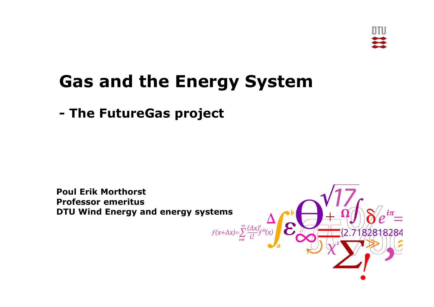## **Gas and the Energy System**

#### **- The FutureGas project**

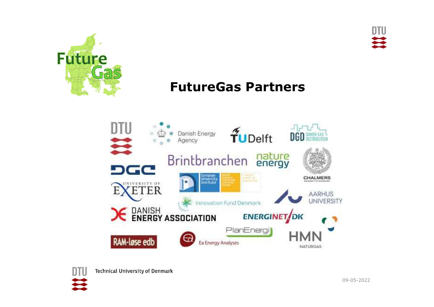



### **FutureGas Partners**





**Technical University of Denmark**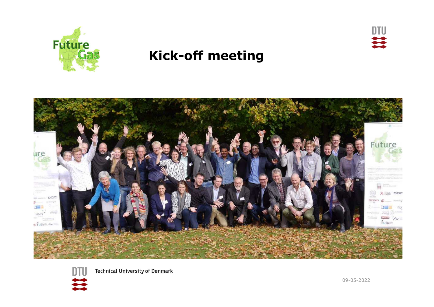

## **Kick-off meeting**





**Technical University of Denmark** 

09-05-2022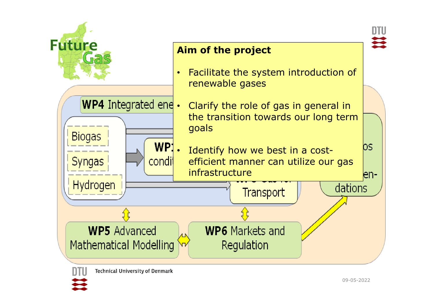

09-05-2022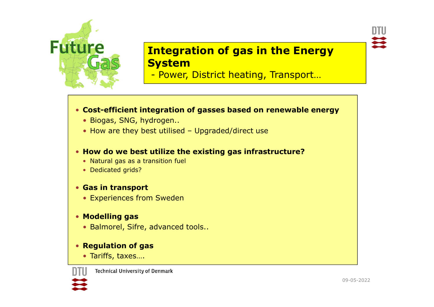

#### **Integration of gas in the Energy System**

<mark>- Power, District heating, Transport…</mark>

### • **Cost-efficient integration of gasses based on renewable energy**

- Biogas, SNG, hydrogen..
- How are they best utilised Upgraded/direct use

### • **How do we best utilize the existing gas infrastructure?**

- Natural gas as a transition fuel
- Dedicated grids?

#### • **Gas in transport**

• Experiences from Sweden

### • **Modelling gas**

• Balmorel, Sifre, advanced tools..

#### • **Regulation of gas**

• Tariffs, taxes….



**Technical University of Denmark** 

09-05-2022

DTU

芸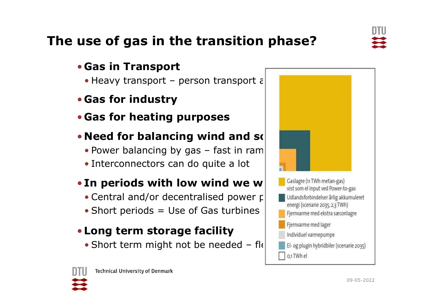## **The use of gas in the transition phase?**

## • **Gas in Transport**

- Heavy transport person transport  $\epsilon$  **possibility** a possibility  $\epsilon$
- **Gas for industry**
- **Gas for heating purposes**

# **• Need for balancing wind and so and solar part of the solution of the solar rand solar and solar and solar and solar**  $\mathbb{R}$

- Power balancing by gas fast in ram<br>• Intersecunestars can de suite a let
- Interconnectors can do quite a lot

# • In periods with low wind we w increase the state of power-to-gas

- Central and/or decentralised power  $\mathsf{r}$   $\blacksquare$  Udlands forbindelser årlig akkumuleret
- Short periods = Use of Gas turbines

# • **Long term storage facility**

• Short term might not be needed – fle<br>  $\fbox{sup}$  El-og plugin hybridbiler (scenarie 2035)







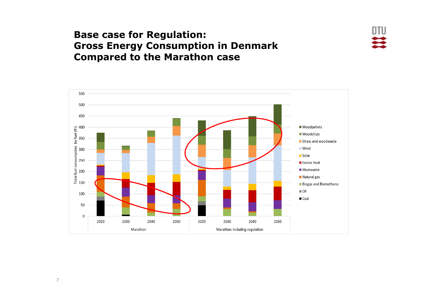#### **Base case for Regulation: Gross Energy Consumption in Denmark Compared to the Marathon case**